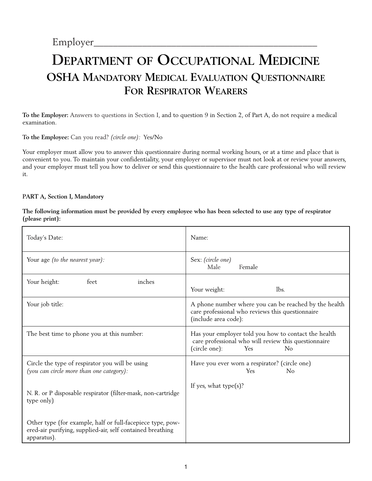# **DEPARTMENT OF OCCUPATIONAL MEDICINE OSHA MANDATORY MEDICAL EVALUATION QUESTIONNAIRE FOR RESPIRATOR WEARERS**

**To the Employer:** Answers to questions in Section I, and to question 9 in Section 2, of Part A, do not require a medical examination.

**To the Employee:** Can you read? *(circle one):* Yes/No

Your employer must allow you to answer this questionnaire during normal working hours, or at a time and place that is convenient to you. To maintain your confidentiality, your employer or supervisor must not look at or review your answers, and your employer must tell you how to deliver or send this questionnaire to the health care professional who will review it.

#### **PART A, Section I, Mandatory**

**The following information must be provided by every employee who has been selected to use any type of respirator (please print):**

| Today's Date:                                                                                                                           | Name:                                                                                                                                      |
|-----------------------------------------------------------------------------------------------------------------------------------------|--------------------------------------------------------------------------------------------------------------------------------------------|
| Your age (to the nearest year):                                                                                                         | Sex: (circle one)<br>Female<br>Male                                                                                                        |
| Your height:<br>feet<br>inches                                                                                                          | lbs.<br>Your weight:                                                                                                                       |
| Your job title:                                                                                                                         | A phone number where you can be reached by the health<br>care professional who reviews this questionnaire<br>(include area code):          |
| The best time to phone you at this number:                                                                                              | Has your employer told you how to contact the health<br>care professional who will review this questionnaire<br>(circle one):<br>Yes<br>No |
| Circle the type of respirator you will be using<br>(you can circle more than one category):                                             | Have you ever worn a respirator? (circle one)<br><b>Yes</b><br>No                                                                          |
| N. R. or P disposable respirator (filter-mask, non-cartridge<br>type only)                                                              | If yes, what type $(s)$ ?                                                                                                                  |
| Other type (for example, half or full-facepiece type, pow-<br>ered-air purifying, supplied-air, self contained breathing<br>apparatus). |                                                                                                                                            |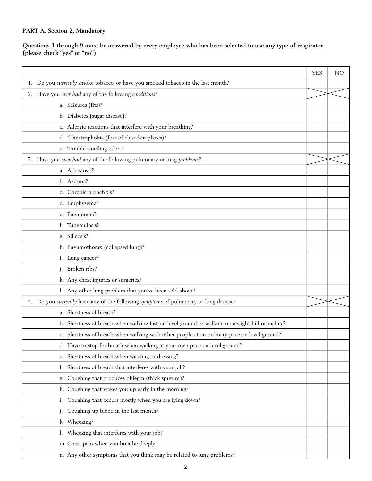### **PART A, Section 2, Mandatory**

**Questions 1 through 9 must be answered by every employee who has been selected to use any type of respirator (please check "yes" or "no").**

|                                                                                                  | <b>YES</b> | N <sub>O</sub> |
|--------------------------------------------------------------------------------------------------|------------|----------------|
| 1. Do you currently smoke tobacco, or have you smoked tobacco in the last month?                 |            |                |
| 2. Have you ever had any of the following conditions?                                            |            |                |
| a. Seizures (fits)?                                                                              |            |                |
| b. Diabetes (sugar disease)?                                                                     |            |                |
| c. Allergic reactions that interfere with your breathing?                                        |            |                |
| d. Claustrophobia (fear of closed-in places)?                                                    |            |                |
| e. Trouble smelling odors?                                                                       |            |                |
| 3. Have you ever had any of the following pulmonary or lung problems?                            |            |                |
| a. Asbestosis?                                                                                   |            |                |
| b. Asthma?                                                                                       |            |                |
| c. Chronic bronchitis?                                                                           |            |                |
| d. Emphysema?                                                                                    |            |                |
| e. Pneumonia?                                                                                    |            |                |
| Tuberculosis?<br>f.                                                                              |            |                |
| Silicosis?<br>g.                                                                                 |            |                |
| h. Pneumothorax (collapsed lung)?                                                                |            |                |
| i. Lung cancer?                                                                                  |            |                |
| Broken ribs?<br>j.                                                                               |            |                |
| k. Any chest injuries or surgeries?                                                              |            |                |
| 1. Any other lung problem that you've been told about?                                           |            |                |
| 4. Do you currently have any of the following symptoms of pulmonary or lung disease?             |            |                |
| a. Shortness of breath?                                                                          |            |                |
| b. Shortness of breath when walking fast on level ground or walking up a slight hill or incline? |            |                |
| c. Shortness of breath when walking with other people at an ordinary pace on level ground?       |            |                |
| d. Have to stop for breath when walking at your own pace on level ground?                        |            |                |
| e. Shortness of breath when washing or dressing?                                                 |            |                |
| Shortness of breath that interferes with your job?<br>f.                                         |            |                |
| Coughing that produces phlegm (thick sputum)?<br>g.                                              |            |                |
| Coughing that wakes you up early in the morning?<br>h.                                           |            |                |
| Coughing that occurs mostly when you are lying down?<br>i.                                       |            |                |
| Coughing up blood in the last month?<br>j.                                                       |            |                |
| k. Wheezing?                                                                                     |            |                |
| 1. Wheezing that interferes with your job?                                                       |            |                |
| m. Chest pain when you breathe deeply?                                                           |            |                |
| n. Any other symptoms that you think may be related to lung problems?                            |            |                |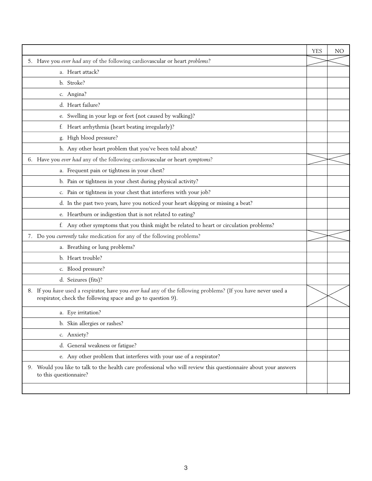|                                                                                                                                                                              | <b>YES</b> | <b>NO</b> |
|------------------------------------------------------------------------------------------------------------------------------------------------------------------------------|------------|-----------|
| 5. Have you ever had any of the following cardiovascular or heart problems?                                                                                                  |            |           |
| a. Heart attack?                                                                                                                                                             |            |           |
| b. Stroke?                                                                                                                                                                   |            |           |
| c. Angina?                                                                                                                                                                   |            |           |
| d. Heart failure?                                                                                                                                                            |            |           |
| e. Swelling in your legs or feet (not caused by walking)?                                                                                                                    |            |           |
| Heart arrhythmia (heart beating irregularly)?<br>f.                                                                                                                          |            |           |
| High blood pressure?<br>g.                                                                                                                                                   |            |           |
| h. Any other heart problem that you've been told about?                                                                                                                      |            |           |
| 6. Have you ever had any of the following cardiovascular or heart symptoms?                                                                                                  |            |           |
| a. Frequent pain or tightness in your chest?                                                                                                                                 |            |           |
| b. Pain or tightness in your chest during physical activity?                                                                                                                 |            |           |
| c. Pain or tightness in your chest that interferes with your job?                                                                                                            |            |           |
| d. In the past two years, have you noticed your heart skipping or missing a beat?                                                                                            |            |           |
| e. Heartburn or indigestion that is not related to eating?                                                                                                                   |            |           |
| f. Any other symptoms that you think might be related to heart or circulation problems?                                                                                      |            |           |
| 7. Do you currently take medication for any of the following problems?                                                                                                       |            |           |
| a. Breathing or lung problems?                                                                                                                                               |            |           |
| b. Heart trouble?                                                                                                                                                            |            |           |
| c. Blood pressure?                                                                                                                                                           |            |           |
| d. Seizures (fits)?                                                                                                                                                          |            |           |
| 8. If you have used a respirator, have you ever had any of the following problems? (If you have never used a<br>respirator, check the following space and go to question 9). |            |           |
| a. Eye irritation?                                                                                                                                                           |            |           |
| b. Skin allergies or rashes?                                                                                                                                                 |            |           |
| c. Anxiety?                                                                                                                                                                  |            |           |
| d. General weakness or fatigue?                                                                                                                                              |            |           |
| e. Any other problem that interferes with your use of a respirator?                                                                                                          |            |           |
| 9. Would you like to talk to the health care professional who will review this questionnaire about your answers<br>to this questionnaire?                                    |            |           |
|                                                                                                                                                                              |            |           |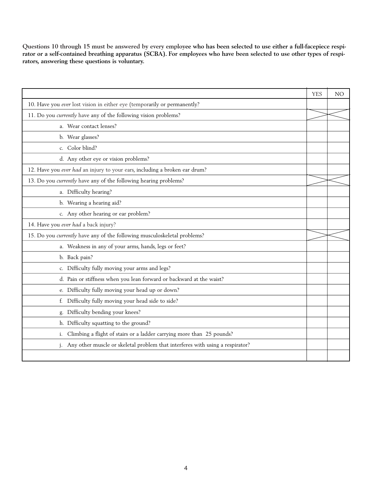**Questions 10 through 15 must be answered by every employee who has been selected to use either a full-facepiece respirator or a self-contained breathing apparatus (SCBA). For employees who have been selected to use other types of respirators, answering these questions is voluntary.**

|                                                                               | <b>YES</b> | <b>NO</b> |
|-------------------------------------------------------------------------------|------------|-----------|
| 10. Have you ever lost vision in either eye (temporarily or permanently?      |            |           |
| 11. Do you currently have any of the following vision problems?               |            |           |
| a. Wear contact lenses?                                                       |            |           |
| b. Wear glasses?                                                              |            |           |
| c. Color blind?                                                               |            |           |
| d. Any other eye or vision problems?                                          |            |           |
| 12. Have you ever had an injury to your ears, including a broken ear drum?    |            |           |
| 13. Do you currently have any of the following hearing problems?              |            |           |
| a. Difficulty hearing?                                                        |            |           |
| b. Wearing a hearing aid?                                                     |            |           |
| c. Any other hearing or ear problem?                                          |            |           |
| 14. Have you ever had a back injury?                                          |            |           |
| 15. Do you currently have any of the following musculoskeletal problems?      |            |           |
| a. Weakness in any of your arms, hands, legs or feet?                         |            |           |
| b. Back pain?                                                                 |            |           |
| c. Difficulty fully moving your arms and legs?                                |            |           |
| d. Pain or stiffness when you lean forward or backward at the waist?          |            |           |
| e. Difficulty fully moving your head up or down?                              |            |           |
| f. Difficulty fully moving your head side to side?                            |            |           |
| Difficulty bending your knees?<br>g.                                          |            |           |
| h. Difficulty squatting to the ground?                                        |            |           |
| Climbing a flight of stairs or a ladder carrying more than 25 pounds?<br>i.   |            |           |
| Any other muscle or skeletal problem that interferes with using a respirator? |            |           |
|                                                                               |            |           |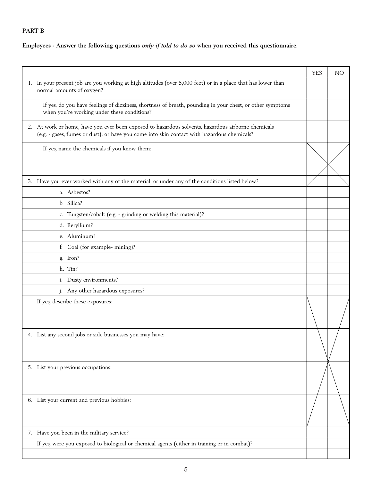# **PART B**

## **Employees - Answer the following questions** *only if told to do so* **when you received this questionnaire.**

|                                                                                                                                                                                                   | <b>YES</b> | N <sub>O</sub> |
|---------------------------------------------------------------------------------------------------------------------------------------------------------------------------------------------------|------------|----------------|
| 1. In your present job are you working at high altitudes (over 5,000 feet) or in a place that has lower than<br>normal amounts of oxygen?                                                         |            |                |
| If yes, do you have feelings of dizziness, shortness of breath, pounding in your chest, or other symptoms<br>when you're working under these conditions?                                          |            |                |
| 2. At work or home, have you ever been exposed to hazardous solvents, hazardous airborne chemicals<br>(e.g. - gases, fumes or dust), or have you come into skin contact with hazardous chemicals? |            |                |
| If yes, name the chemicals if you know them:                                                                                                                                                      |            |                |
| 3. Have you ever worked with any of the material, or under any of the conditions listed below?                                                                                                    |            |                |
| a. Asbestos?                                                                                                                                                                                      |            |                |
| b. Silica?                                                                                                                                                                                        |            |                |
| c. Tungsten/cobalt (e.g. - grinding or welding this material)?                                                                                                                                    |            |                |
| d. Beryllium?                                                                                                                                                                                     |            |                |
| e. Aluminum?                                                                                                                                                                                      |            |                |
| f. Coal (for example- mining)?                                                                                                                                                                    |            |                |
| g. Iron?                                                                                                                                                                                          |            |                |
| h. Tin?                                                                                                                                                                                           |            |                |
| i. Dusty environments?                                                                                                                                                                            |            |                |
| j. Any other hazardous exposures?                                                                                                                                                                 |            |                |
| If yes, describe these exposures:                                                                                                                                                                 |            |                |
| 4. List any second jobs or side businesses you may have:                                                                                                                                          |            |                |
| 5. List your previous occupations:                                                                                                                                                                |            |                |
| 6. List your current and previous hobbies:                                                                                                                                                        |            |                |
| 7. Have you been in the military service?                                                                                                                                                         |            |                |
| If yes, were you exposed to biological or chemical agents (either in training or in combat)?                                                                                                      |            |                |
|                                                                                                                                                                                                   |            |                |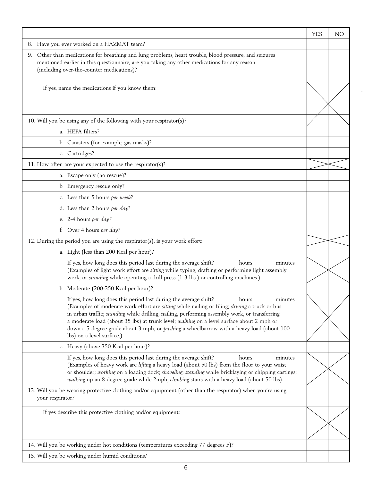|                                                                                                                                                                                                                                                                                                                                                                                                                                                                                                                    | <b>YES</b> | <b>NO</b> |
|--------------------------------------------------------------------------------------------------------------------------------------------------------------------------------------------------------------------------------------------------------------------------------------------------------------------------------------------------------------------------------------------------------------------------------------------------------------------------------------------------------------------|------------|-----------|
| 8. Have you ever worked on a HAZMAT team?                                                                                                                                                                                                                                                                                                                                                                                                                                                                          |            |           |
| 9. Other than medications for breathing and lung problems, heart trouble, blood pressure, and seizures<br>mentioned earlier in this questionnaire, are you taking any other medications for any reason<br>(including over-the-counter medications)?                                                                                                                                                                                                                                                                |            |           |
| If yes, name the medications if you know them:                                                                                                                                                                                                                                                                                                                                                                                                                                                                     |            |           |
| 10. Will you be using any of the following with your respirator(s)?                                                                                                                                                                                                                                                                                                                                                                                                                                                |            |           |
| a. HEPA filters?                                                                                                                                                                                                                                                                                                                                                                                                                                                                                                   |            |           |
| b. Canisters (for example, gas masks)?                                                                                                                                                                                                                                                                                                                                                                                                                                                                             |            |           |
| c. Cartridges?                                                                                                                                                                                                                                                                                                                                                                                                                                                                                                     |            |           |
| 11. How often are your expected to use the respirator(s)?                                                                                                                                                                                                                                                                                                                                                                                                                                                          |            |           |
| a. Escape only (no rescue)?                                                                                                                                                                                                                                                                                                                                                                                                                                                                                        |            |           |
| b. Emergency rescue only?                                                                                                                                                                                                                                                                                                                                                                                                                                                                                          |            |           |
| c. Less than 5 hours per week?                                                                                                                                                                                                                                                                                                                                                                                                                                                                                     |            |           |
| d. Less than 2 hours per day?                                                                                                                                                                                                                                                                                                                                                                                                                                                                                      |            |           |
| e. 2-4 hours per day?                                                                                                                                                                                                                                                                                                                                                                                                                                                                                              |            |           |
| f. Over 4 hours per day?                                                                                                                                                                                                                                                                                                                                                                                                                                                                                           |            |           |
| 12. During the period you are using the respirator(s), is your work effort:                                                                                                                                                                                                                                                                                                                                                                                                                                        |            |           |
| a. Light (less than 200 Kcal per hour)?                                                                                                                                                                                                                                                                                                                                                                                                                                                                            |            |           |
| If yes, how long does this period last during the average shift?<br>hours<br>minutes<br>(Examples of light work effort are sitting while typing, drafting or performing light assembly<br>work; or standing while operating a drill press (1-3 lbs.) or controlling machines.)                                                                                                                                                                                                                                     |            |           |
| b. Moderate (200-350 Kcal per hour)?                                                                                                                                                                                                                                                                                                                                                                                                                                                                               |            |           |
| If yes, how long does this period last during the average shift?<br>hours<br>minutes<br>(Examples of moderate work effort are sitting while nailing or filing; driving a truck or bus<br>in urban traffic; standing while drilling, nailing, performing assembly work, or transferring<br>a moderate load (about 35 lbs) at trunk level; walking on a level surface about 2 mph or<br>down a 5-degree grade about 3 mph; or <i>pushing</i> a wheelbarrow with a heavy load (about 100<br>lbs) on a level surface.) |            |           |
| c. Heavy (above 350 Kcal per hour)?                                                                                                                                                                                                                                                                                                                                                                                                                                                                                |            |           |
| If yes, how long does this period last during the average shift?<br>hours<br>minutes<br>(Examples of heavy work are lifting a heavy load (about 50 lbs) from the floor to your waist<br>or shoulder; working on a loading dock; shoveling; standing while bricklaying or chipping castings;<br>walking up an 8-degree grade while 2mph; climbing stairs with a heavy load (about 50 lbs).                                                                                                                          |            |           |
| 13. Will you be wearing protective clothing and/or equipment (other than the respirator) when you're using<br>your respirator?                                                                                                                                                                                                                                                                                                                                                                                     |            |           |
| If yes describe this protective clothing and/or equipment:                                                                                                                                                                                                                                                                                                                                                                                                                                                         |            |           |
| 14. Will you be working under hot conditions (temperatures exceeding 77 degrees F)?                                                                                                                                                                                                                                                                                                                                                                                                                                |            |           |
| 15. Will you be working under humid conditions?                                                                                                                                                                                                                                                                                                                                                                                                                                                                    |            |           |

 $\ddot{\phantom{1}}$